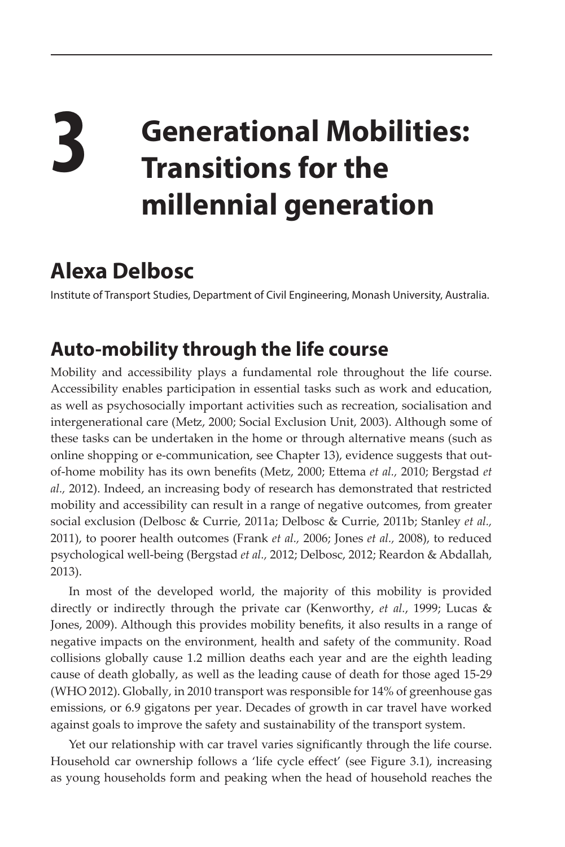## **3 Generational Mobilities: Transitions for the millennial generation**

## **Alexa Delbosc**

Institute of Transport Studies, Department of Civil Engineering, Monash University, Australia.

## **Auto-mobility through the life course**

Mobility and accessibility plays a fundamental role throughout the life course. Accessibility enables participation in essential tasks such as work and education, as well as psychosocially important activities such as recreation, socialisation and intergenerational care (Metz, 2000; Social Exclusion Unit, 2003). Although some of these tasks can be undertaken in the home or through alternative means (such as online shopping or e-communication, see Chapter 13), evidence suggests that outof-home mobility has its own benefits (Metz, 2000; Ettema *et al.,* 2010; Bergstad *et al.,* 2012). Indeed, an increasing body of research has demonstrated that restricted mobility and accessibility can result in a range of negative outcomes, from greater social exclusion (Delbosc & Currie, 2011a; Delbosc & Currie, 2011b; Stanley *et al.,* 2011), to poorer health outcomes (Frank *et al.,* 2006; Jones *et al.,* 2008), to reduced psychological well-being (Bergstad *et al.,* 2012; Delbosc, 2012; Reardon & Abdallah, 2013).

In most of the developed world, the majority of this mobility is provided directly or indirectly through the private car (Kenworthy, *et al.*, 1999; Lucas & Jones, 2009). Although this provides mobility benefits, it also results in a range of negative impacts on the environment, health and safety of the community. Road collisions globally cause 1.2 million deaths each year and are the eighth leading cause of death globally, as well as the leading cause of death for those aged 15-29 (WHO 2012). Globally, in 2010 transport was responsible for 14% of greenhouse gas emissions, or 6.9 gigatons per year. Decades of growth in car travel have worked against goals to improve the safety and sustainability of the transport system.

Yet our relationship with car travel varies significantly through the life course. Household car ownership follows a 'life cycle effect' (see Figure 3.1), increasing as young households form and peaking when the head of household reaches the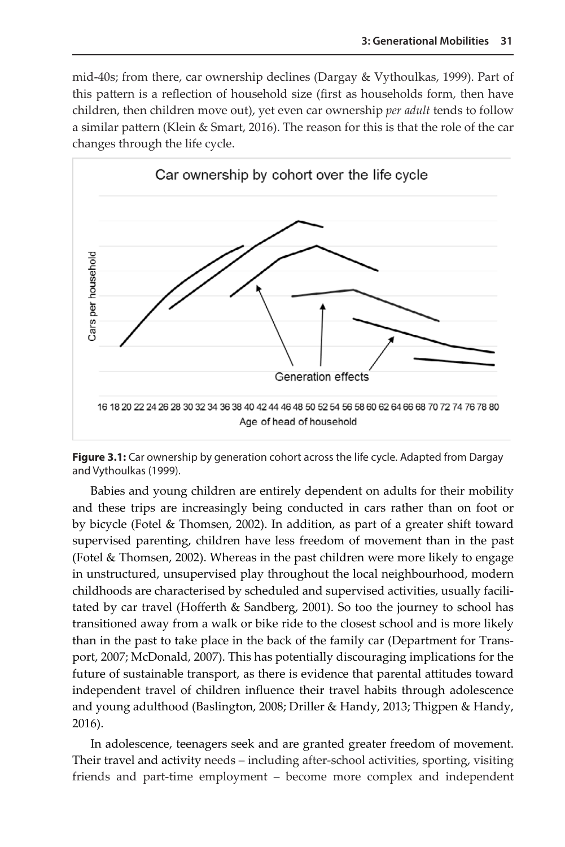mid-40s; from there, car ownership declines (Dargay & Vythoulkas, 1999). Part of this pattern is a reflection of household size (first as households form, then have children, then children move out), yet even car ownership *per adult* tends to follow a similar pattern (Klein & Smart, 2016). The reason for this is that the role of the car changes through the life cycle.



**Figure 3.1:** Car ownership by generation cohort across the life cycle. Adapted from Dargay and Vythoulkas (1999).

Babies and young children are entirely dependent on adults for their mobility and these trips are increasingly being conducted in cars rather than on foot or by bicycle (Fotel & Thomsen, 2002). In addition, as part of a greater shift toward supervised parenting, children have less freedom of movement than in the past (Fotel & Thomsen, 2002). Whereas in the past children were more likely to engage in unstructured, unsupervised play throughout the local neighbourhood, modern childhoods are characterised by scheduled and supervised activities, usually facilitated by car travel (Hofferth & Sandberg, 2001). So too the journey to school has transitioned away from a walk or bike ride to the closest school and is more likely than in the past to take place in the back of the family car (Department for Transport, 2007; McDonald, 2007). This has potentially discouraging implications for the future of sustainable transport, as there is evidence that parental attitudes toward independent travel of children influence their travel habits through adolescence and young adulthood (Baslington, 2008; Driller & Handy, 2013; Thigpen & Handy, 2016).

In adolescence, teenagers seek and are granted greater freedom of movement. Their travel and activity needs – including after-school activities, sporting, visiting friends and part-time employment – become more complex and independent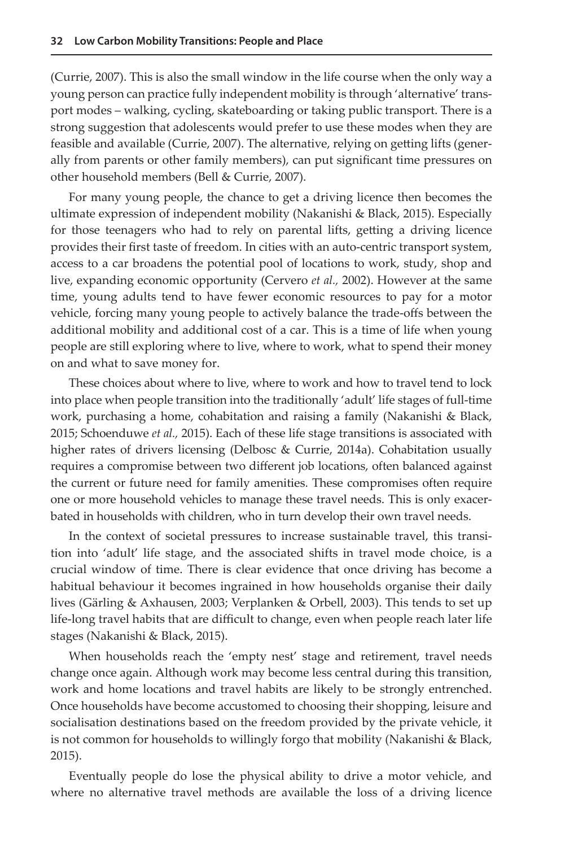(Currie, 2007). This is also the small window in the life course when the only way a young person can practice fully independent mobility is through 'alternative' transport modes – walking, cycling, skateboarding or taking public transport. There is a strong suggestion that adolescents would prefer to use these modes when they are feasible and available (Currie, 2007). The alternative, relying on getting lifts (generally from parents or other family members), can put significant time pressures on other household members (Bell & Currie, 2007).

For many young people, the chance to get a driving licence then becomes the ultimate expression of independent mobility (Nakanishi & Black, 2015). Especially for those teenagers who had to rely on parental lifts, getting a driving licence provides their first taste of freedom. In cities with an auto-centric transport system, access to a car broadens the potential pool of locations to work, study, shop and live, expanding economic opportunity (Cervero *et al.,* 2002). However at the same time, young adults tend to have fewer economic resources to pay for a motor vehicle, forcing many young people to actively balance the trade-offs between the additional mobility and additional cost of a car. This is a time of life when young people are still exploring where to live, where to work, what to spend their money on and what to save money for.

These choices about where to live, where to work and how to travel tend to lock into place when people transition into the traditionally 'adult' life stages of full-time work, purchasing a home, cohabitation and raising a family (Nakanishi & Black, 2015; Schoenduwe *et al.,* 2015). Each of these life stage transitions is associated with higher rates of drivers licensing (Delbosc & Currie, 2014a). Cohabitation usually requires a compromise between two different job locations, often balanced against the current or future need for family amenities. These compromises often require one or more household vehicles to manage these travel needs. This is only exacerbated in households with children, who in turn develop their own travel needs.

In the context of societal pressures to increase sustainable travel, this transition into 'adult' life stage, and the associated shifts in travel mode choice, is a crucial window of time. There is clear evidence that once driving has become a habitual behaviour it becomes ingrained in how households organise their daily lives (Gärling & Axhausen, 2003; Verplanken & Orbell, 2003). This tends to set up life-long travel habits that are difficult to change, even when people reach later life stages (Nakanishi & Black, 2015).

When households reach the 'empty nest' stage and retirement, travel needs change once again. Although work may become less central during this transition, work and home locations and travel habits are likely to be strongly entrenched. Once households have become accustomed to choosing their shopping, leisure and socialisation destinations based on the freedom provided by the private vehicle, it is not common for households to willingly forgo that mobility (Nakanishi & Black, 2015).

Eventually people do lose the physical ability to drive a motor vehicle, and where no alternative travel methods are available the loss of a driving licence